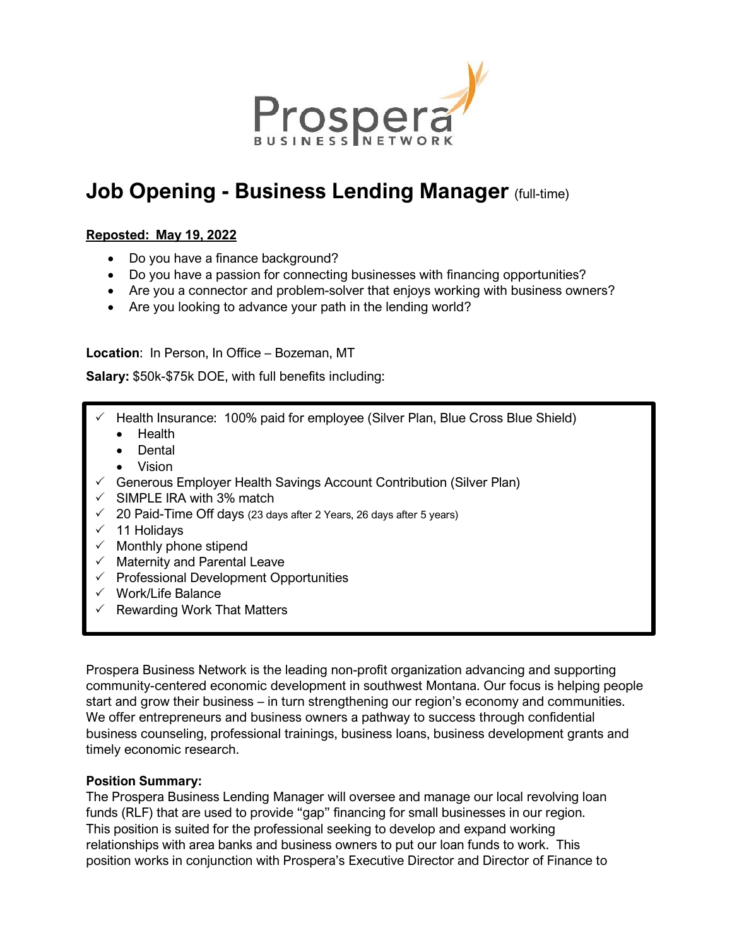

# **Job Opening - Business Lending Manager** (full-time)

### **Reposted: May 19, 2022**

- Do you have a finance background?
- Do you have a passion for connecting businesses with financing opportunities?
- Are you a connector and problem-solver that enjoys working with business owners?
- Are you looking to advance your path in the lending world?

**Location**: In Person, In Office – Bozeman, MT

**Salary:** \$50k-\$75k DOE, with full benefits including:

- Health Insurance: 100% paid for employee (Silver Plan, Blue Cross Blue Shield)
	- Health
	- Dental
	- Vision
- Generous Employer Health Savings Account Contribution (Silver Plan)
- $\checkmark$  SIMPLE IRA with 3% match
- $\checkmark$  20 Paid-Time Off days (23 days after 2 Years, 26 days after 5 years)
- $\checkmark$  11 Holidays
- $\checkmark$  Monthly phone stipend
- Maternity and Parental Leave
- Professional Development Opportunities
- $\checkmark$  Work/Life Balance
- Rewarding Work That Matters

Prospera Business Network is the leading non-profit organization advancing and supporting community-centered economic development in southwest Montana. Our focus is helping people start and grow their business – in turn strengthening our region's economy and communities. We offer entrepreneurs and business owners a pathway to success through confidential business counseling, professional trainings, business loans, business development grants and timely economic research.

#### **Position Summary:**

The Prospera Business Lending Manager will oversee and manage our local revolving loan funds (RLF) that are used to provide "gap" financing for small businesses in our region. This position is suited for the professional seeking to develop and expand working relationships with area banks and business owners to put our loan funds to work. This position works in conjunction with Prospera's Executive Director and Director of Finance to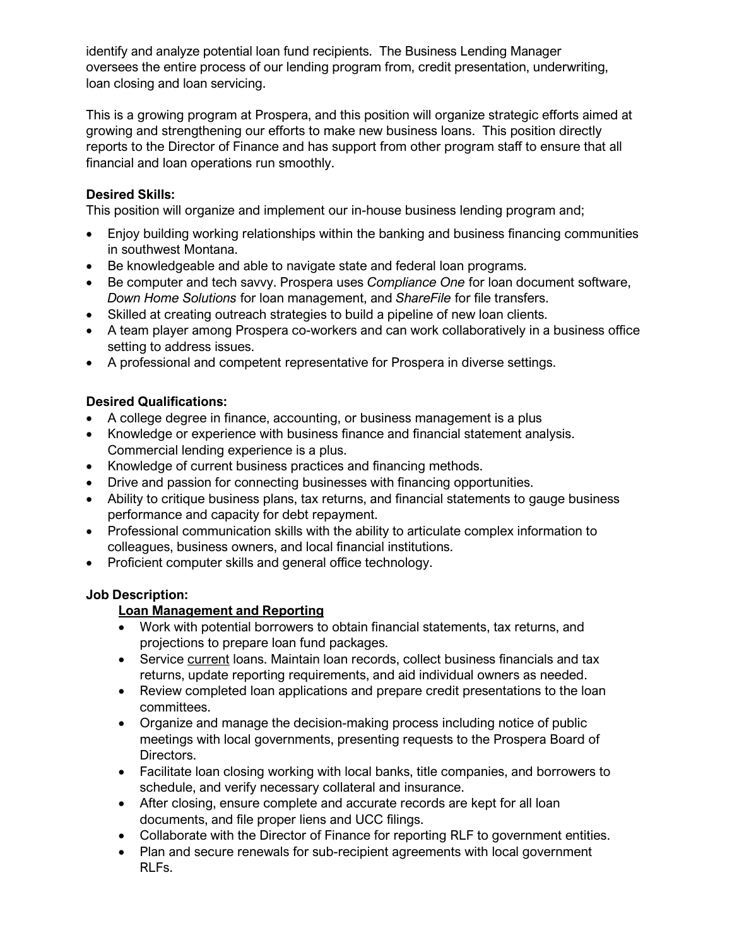identify and analyze potential loan fund recipients. The Business Lending Manager oversees the entire process of our lending program from, credit presentation, underwriting, loan closing and loan servicing.

This is a growing program at Prospera, and this position will organize strategic efforts aimed at growing and strengthening our efforts to make new business loans. This position directly reports to the Director of Finance and has support from other program staff to ensure that all financial and loan operations run smoothly.

# **Desired Skills:**

This position will organize and implement our in-house business lending program and;

- Enjoy building working relationships within the banking and business financing communities in southwest Montana.
- Be knowledgeable and able to navigate state and federal loan programs.
- Be computer and tech savvy. Prospera uses *Compliance One* for loan document software, *Down Home Solutions* for loan management, and *ShareFile* for file transfers.
- Skilled at creating outreach strategies to build a pipeline of new loan clients.
- A team player among Prospera co-workers and can work collaboratively in a business office setting to address issues.
- A professional and competent representative for Prospera in diverse settings.

# **Desired Qualifications:**

- A college degree in finance, accounting, or business management is a plus
- Knowledge or experience with business finance and financial statement analysis. Commercial lending experience is a plus.
- Knowledge of current business practices and financing methods.
- Drive and passion for connecting businesses with financing opportunities.
- Ability to critique business plans, tax returns, and financial statements to gauge business performance and capacity for debt repayment.
- Professional communication skills with the ability to articulate complex information to colleagues, business owners, and local financial institutions.
- Proficient computer skills and general office technology.

# **Job Description:**

## **Loan Management and Reporting**

- Work with potential borrowers to obtain financial statements, tax returns, and projections to prepare loan fund packages.
- Service current loans. Maintain loan records, collect business financials and tax returns, update reporting requirements, and aid individual owners as needed.
- Review completed loan applications and prepare credit presentations to the loan committees.
- Organize and manage the decision-making process including notice of public meetings with local governments, presenting requests to the Prospera Board of Directors.
- Facilitate loan closing working with local banks, title companies, and borrowers to schedule, and verify necessary collateral and insurance.
- After closing, ensure complete and accurate records are kept for all loan documents, and file proper liens and UCC filings.
- Collaborate with the Director of Finance for reporting RLF to government entities.
- Plan and secure renewals for sub-recipient agreements with local government RLFs.